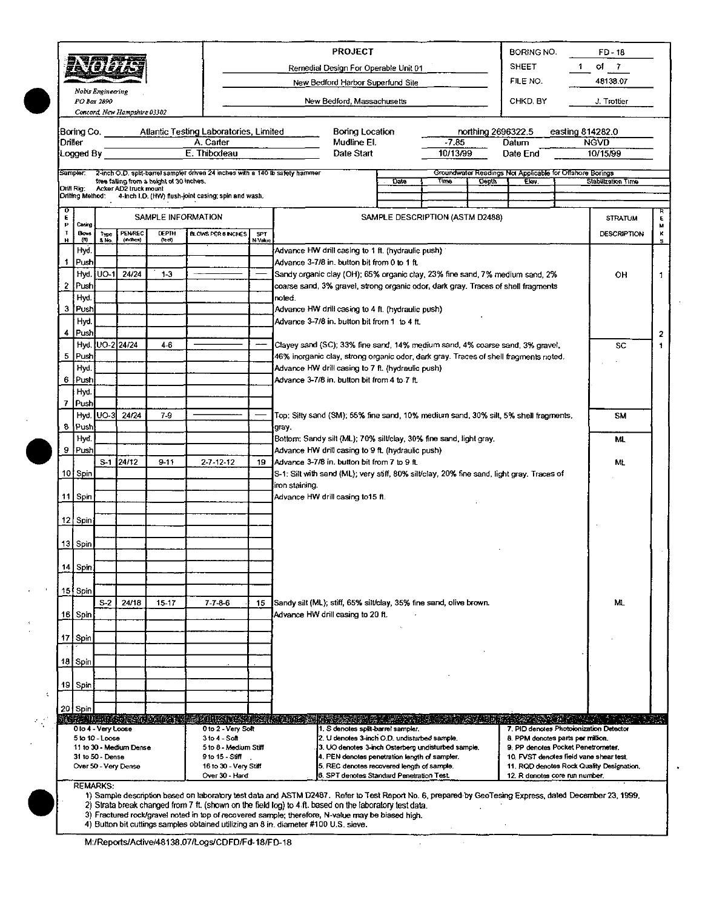|                  |                     |                |                              |                                          |                                                                               |         | <b>PROJECT</b><br>BORING NO.<br><b>SHEET</b><br>Remedial Design For Operable Unit 01                                                                                                 | FD-18<br>of 7      |  |  |  |  |  |  |
|------------------|---------------------|----------------|------------------------------|------------------------------------------|-------------------------------------------------------------------------------|---------|--------------------------------------------------------------------------------------------------------------------------------------------------------------------------------------|--------------------|--|--|--|--|--|--|
|                  | Nobis Engineering   |                |                              |                                          |                                                                               |         | FILE NO.<br>New Bedford Harbor Superfund Site                                                                                                                                        | 48138.07           |  |  |  |  |  |  |
|                  | PO Bar 2890         |                | Concord, New Hampshire 03302 |                                          |                                                                               |         | New Bedford, Massachusetts<br>CHKD BY                                                                                                                                                | J. Trottier        |  |  |  |  |  |  |
|                  |                     |                |                              |                                          | Boring Co. Atlantic Testing Laboratories, Limited                             |         | Boring Location<br>easting 814282.0<br>northing 2696322.5                                                                                                                            |                    |  |  |  |  |  |  |
|                  | Driller             |                |                              |                                          | A. Carter                                                                     |         | Mudline El.<br>$-7.85$<br>Datum                                                                                                                                                      | <b>NGVD</b>        |  |  |  |  |  |  |
|                  | Logged By           |                |                              |                                          | E. Thibodeau                                                                  |         | 10/13/99<br>Date Start<br>Date End                                                                                                                                                   | 10/15/99           |  |  |  |  |  |  |
|                  | <b>Sampler</b>      |                |                              |                                          | 2-inch O.D. split-barrel sampler driven 24 inches with a 140 lb safety hammer |         | Groundwater Readings Not Applicable for Offshore Borings                                                                                                                             |                    |  |  |  |  |  |  |
|                  | Orill Rig:          |                | Acker AD2 truck mount        | tree talling from a height of 30 inches. |                                                                               |         | <b>Cate</b><br>Time<br>Lepin<br>Ekr.                                                                                                                                                 | Stabilization Time |  |  |  |  |  |  |
|                  | Drilling Method:    |                |                              |                                          | 4-inch I.D. (HW) flush-joint casing; spin and wash.                           |         |                                                                                                                                                                                      |                    |  |  |  |  |  |  |
| o<br>E           | Casing              |                |                              |                                          | SAMPLE INFORMATION                                                            |         | SAMPLE DESCRIPTION (ASTM D2488)                                                                                                                                                      | <b>STRATUM</b>     |  |  |  |  |  |  |
| Р<br>$\mathbf T$ | <b>Blows</b>        | Type           | PENAREC                      | <b>DEPTH</b>                             | <b>BLOWS PER 6 INCHES</b>                                                     | SPT     |                                                                                                                                                                                      | <b>DESCRIPTION</b> |  |  |  |  |  |  |
| н                | m<br>Hyd.           | & No.          | (inches)                     | (lee)                                    |                                                                               | N-Value | Advance HW drill casing to 1 ft. (hydraulic push) 1                                                                                                                                  |                    |  |  |  |  |  |  |
| 1                | Push                |                |                              |                                          |                                                                               |         | Advance 3-7/8 in. button bit from 0 to 1 ft.                                                                                                                                         |                    |  |  |  |  |  |  |
|                  |                     | Hyd. [UO-1]    | 24/24                        | $1-3$                                    |                                                                               |         | Sandy organic clay (OH); 65% organic clay, 23% fine sand, 7% medium sand, 2%                                                                                                         | OН                 |  |  |  |  |  |  |
| 2                | Push                |                |                              |                                          |                                                                               |         | coarse sand, 3% gravel, strong organic odor, dark gray. Traces of shell fragments                                                                                                    |                    |  |  |  |  |  |  |
|                  | Hyd.<br>3 Push      |                |                              |                                          |                                                                               |         | noted.                                                                                                                                                                               |                    |  |  |  |  |  |  |
|                  | Hyd.                |                |                              |                                          |                                                                               |         | Advance HW dnll casing to 4 ft. (hydraulic push)<br>Advance 3-7/8 in. button bit from 1 to 4 ft.                                                                                     |                    |  |  |  |  |  |  |
| 4                | Push                |                |                              |                                          |                                                                               |         |                                                                                                                                                                                      |                    |  |  |  |  |  |  |
|                  |                     |                | Hvd. UO-2 24/24              | $4-6$                                    |                                                                               |         | Clayey sand (SC); 33% fine sand, 14% medium sand, 4% coarse sand, 3% gravel,                                                                                                         | SC                 |  |  |  |  |  |  |
| 5                | Push                |                |                              |                                          |                                                                               |         | 46% inorganic clay, strong organic odor, dark gray. Traces of shell fragments noted.                                                                                                 |                    |  |  |  |  |  |  |
|                  | Hyd.                |                |                              |                                          |                                                                               |         | Advance HW drill casing to 7 ft. (hydraulic push)                                                                                                                                    |                    |  |  |  |  |  |  |
|                  | 6 Push<br>Hyd.      |                |                              |                                          |                                                                               |         | Advance 3-7/8 in, button bit from 4 to 7 ft.                                                                                                                                         |                    |  |  |  |  |  |  |
|                  | 7 Push              |                |                              |                                          |                                                                               |         |                                                                                                                                                                                      |                    |  |  |  |  |  |  |
|                  | Hyd,                | UO-3           | 24/24                        | $7-9$                                    |                                                                               |         | Top: Silty sand (SM); 55% fine sand, 10% medium sand, 30% silt, 5% shell fragments,                                                                                                  | <b>SM</b>          |  |  |  |  |  |  |
|                  | 8 Push              |                |                              |                                          |                                                                               |         | gray.                                                                                                                                                                                |                    |  |  |  |  |  |  |
|                  | Hvd.                |                |                              |                                          |                                                                               |         | Bottom: Sandy silt (ML); 70% silt/clay, 30% fine sand, light gray.                                                                                                                   | ML                 |  |  |  |  |  |  |
|                  | 9 Push              |                | S-1 24/12                    | 9-11                                     | $2 - 7 - 12 - 12$                                                             | 19      | Advance HW drill casing to 9 ft. (hydraulic push)<br>Advance 3-7/8 in. button bit from 7 to 9 ft.                                                                                    |                    |  |  |  |  |  |  |
|                  | 10 Spin             |                |                              |                                          |                                                                               |         | S-1: Silt with sand (ML); very stiff, 80% silt/clay, 20% fine sand, light gray. Traces of                                                                                            | ML                 |  |  |  |  |  |  |
|                  |                     |                |                              |                                          |                                                                               |         | iron staining.                                                                                                                                                                       |                    |  |  |  |  |  |  |
|                  | 11 Spin             |                |                              |                                          |                                                                               |         | Advance HW drill casing to 15 ft.                                                                                                                                                    |                    |  |  |  |  |  |  |
|                  |                     |                |                              |                                          |                                                                               |         |                                                                                                                                                                                      |                    |  |  |  |  |  |  |
|                  | 12. Spin            |                |                              |                                          |                                                                               |         |                                                                                                                                                                                      |                    |  |  |  |  |  |  |
|                  | 13 Spin             |                |                              |                                          |                                                                               |         |                                                                                                                                                                                      |                    |  |  |  |  |  |  |
|                  |                     |                |                              |                                          |                                                                               |         |                                                                                                                                                                                      |                    |  |  |  |  |  |  |
|                  | 14 Spin             |                |                              |                                          |                                                                               |         |                                                                                                                                                                                      |                    |  |  |  |  |  |  |
|                  |                     |                |                              |                                          |                                                                               |         |                                                                                                                                                                                      |                    |  |  |  |  |  |  |
|                  | 15 Spin             | S <sub>2</sub> | 24/18                        | 15-17                                    | $7 - 7 - 8 - 6$                                                               | 15      | Sandy silt (ML); stiff, 65% silt/clay, 35% fine sand, olive brown.                                                                                                                   | ML                 |  |  |  |  |  |  |
|                  | 16 Spin             |                |                              |                                          |                                                                               |         | Advance HW drill casing to 20 ft.                                                                                                                                                    |                    |  |  |  |  |  |  |
|                  |                     |                |                              |                                          |                                                                               |         |                                                                                                                                                                                      |                    |  |  |  |  |  |  |
|                  | 17 Spin             |                |                              |                                          |                                                                               |         |                                                                                                                                                                                      |                    |  |  |  |  |  |  |
|                  |                     |                |                              |                                          |                                                                               |         |                                                                                                                                                                                      |                    |  |  |  |  |  |  |
|                  | 18 Spin             |                |                              |                                          |                                                                               |         |                                                                                                                                                                                      |                    |  |  |  |  |  |  |
|                  | 19 Spin             |                |                              |                                          |                                                                               |         |                                                                                                                                                                                      |                    |  |  |  |  |  |  |
|                  |                     |                |                              |                                          |                                                                               |         |                                                                                                                                                                                      |                    |  |  |  |  |  |  |
|                  | 20 Spin             |                |                              |                                          |                                                                               |         |                                                                                                                                                                                      |                    |  |  |  |  |  |  |
|                  | 0 to 4 - Very Loose |                |                              | <b>INDEXISTANCE</b>                      | KUNG NG ALIKALAN ZUMA<br>0 to 2 Very Soft                                     |         | 7. PID denotes Photoionization Detector<br>1. S denotes split-barrel sampler.                                                                                                        |                    |  |  |  |  |  |  |
|                  | 5 to 10 - Loose     |                |                              |                                          | 3 to 4 - Soft                                                                 |         | 2. U denotes 3-inch O.D. undisturbed sample.<br>8. PPM denotes parts per million.                                                                                                    |                    |  |  |  |  |  |  |
|                  | 31 to 50 - Dense    |                | 11 to 30 - Medium Dense      |                                          | 5 to 8 - Medium Stiff<br>9 to 15 - Stiff                                      |         | 3. UO denotes 3-inch Osterberg undisturbed sample.<br>9. PP denotes Pocket Penetrometer.<br>4. PEN denotes penetration length of sampler.<br>10. FVST denotes field vane shear test. |                    |  |  |  |  |  |  |
|                  |                     |                | Over 50 - Very Dense         |                                          | 16 to 30 - Very Stiff                                                         |         | 5. REC denotes recovered length of sample.<br>11. RQD denotes Rock Quality Designation,                                                                                              |                    |  |  |  |  |  |  |
|                  |                     |                |                              |                                          | Over 30 - Hard                                                                |         | 6. SPT denotes Standard Penetration Test.<br>12. R denotes core run number.                                                                                                          |                    |  |  |  |  |  |  |

 $\lambda$ 

 $\hat{\boldsymbol{\beta}}$ 

3) Fractured rock/gravel noted in top of recovered sample; therefore, N-value may be biased high.<br>4) Button bit cuttings samples obtained utilizing an 8 in. diameter #100 U.S. sieve.

M:/Reports/Active/48138.07/Logs/CDFD/Fd-18/FD-18

 $\mathcal{L}_{\mathcal{A}}$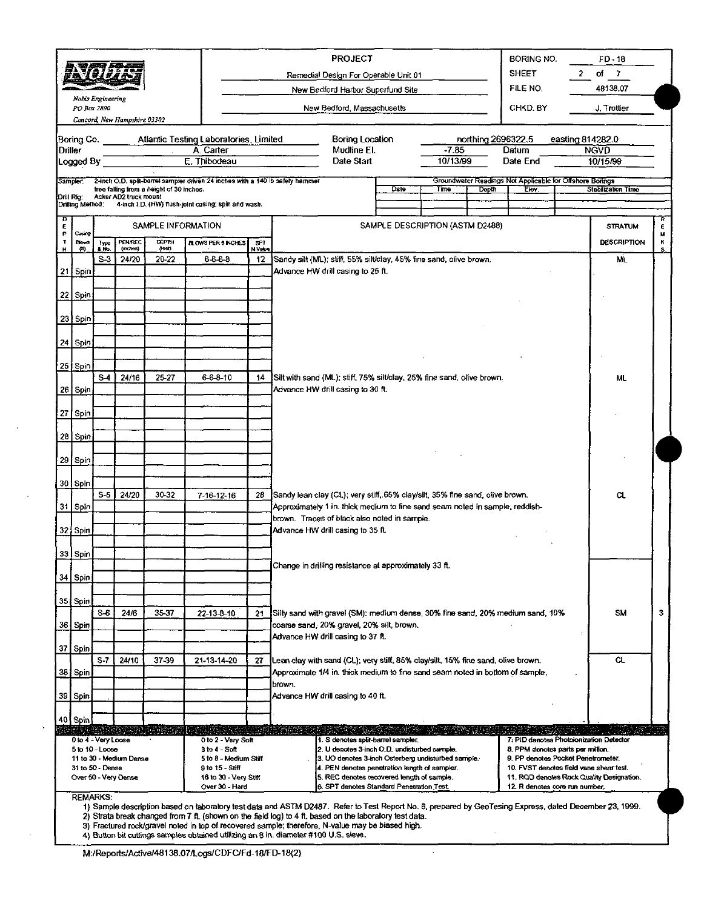|                                               |  |                     |                              |                                          |                                                                               |               |                                                                                         | <b>PROJECT</b>                                                                                              |                                 |                               |              | BORING NO.                                                              |                                 | $FO-18$                   |        |  |
|-----------------------------------------------|--|---------------------|------------------------------|------------------------------------------|-------------------------------------------------------------------------------|---------------|-----------------------------------------------------------------------------------------|-------------------------------------------------------------------------------------------------------------|---------------------------------|-------------------------------|--------------|-------------------------------------------------------------------------|---------------------------------|---------------------------|--------|--|
|                                               |  |                     |                              |                                          |                                                                               |               |                                                                                         |                                                                                                             |                                 | <b>SHEET</b>                  | $\mathbf{z}$ | of $7$                                                                  |                                 |                           |        |  |
|                                               |  |                     |                              |                                          |                                                                               |               | Remedial Design For Operable Unit 01<br>New Bedford Harbor Superfund Site               |                                                                                                             |                                 | FILE NO.                      |              | 48138.07                                                                |                                 |                           |        |  |
|                                               |  | Noois Engineering   |                              |                                          |                                                                               |               |                                                                                         |                                                                                                             |                                 |                               |              |                                                                         |                                 |                           |        |  |
|                                               |  | PO Box 2890         | Concord, New Hampshire 03302 |                                          |                                                                               |               | CHKD, BY<br>New Bedford, Massachusetts                                                  |                                                                                                             |                                 |                               |              |                                                                         |                                 | J. Trottier               |        |  |
|                                               |  |                     |                              |                                          |                                                                               |               |                                                                                         |                                                                                                             |                                 |                               |              |                                                                         |                                 |                           |        |  |
| Boring Co.<br>Driller                         |  |                     |                              | $\mathcal{L}^{\mathcal{L}}$              | Atlantic Testing Laboratories, Limited<br>A. Carter                           |               |                                                                                         | Boring Location<br>Mudline El.                                                                              |                                 | northing 2696322.5<br>$-7.85$ | Datum        |                                                                         | easting 814282.0<br><b>NGVD</b> |                           |        |  |
| Logged By                                     |  |                     |                              |                                          | E. Thibodeau                                                                  |               |                                                                                         | Date Start                                                                                                  |                                 | 10/13/99                      |              | Date End                                                                |                                 | 10/15/99                  |        |  |
| Sampler.                                      |  |                     |                              |                                          | 2-inch O.D. split-barrel sampler driven 24 inches with a 140 lb safety hammer |               |                                                                                         |                                                                                                             |                                 |                               |              | Groundwater Readings Not Applicable for Offshore Borings                |                                 |                           |        |  |
| Drill Rig:                                    |  |                     | Acker AD2 truck mount        | free falling from a height of 30 inches. |                                                                               |               |                                                                                         |                                                                                                             | Date                            | Time                          | <b>Depth</b> | Elev.                                                                   |                                 | <b>Stabilization Time</b> |        |  |
| Drilling Method:                              |  |                     |                              |                                          | 4-inch I.D. (HW) flush-joint casing; spin and wash.                           |               |                                                                                         |                                                                                                             |                                 |                               |              |                                                                         |                                 |                           |        |  |
| D<br>E                                        |  |                     |                              | SAMPLE INFORMATION                       |                                                                               |               |                                                                                         |                                                                                                             | SAMPLE DESCRIPTION (ASTM D2488) |                               |              |                                                                         |                                 | <b>STRATUM</b>            | R<br>ε |  |
| Casary<br>P<br>т<br><b>Blows</b>              |  | Type                | PEN/REC                      | <b>DEPTH</b>                             | <b>BLOWS PER 6 INCHES</b>                                                     | SPT.          |                                                                                         |                                                                                                             |                                 |                               |              |                                                                         |                                 | <b>DESCRIPTION</b>        | м<br>к |  |
| н<br>60                                       |  | & No.<br>$S-3$      | (inches)<br>24/20            | (teet)<br>20-22                          | $6 - 6 - 8$                                                                   | N Value<br>12 | Sandy silt (ML); stiff, 55% silt/clay, 45% fine sand, olive brown.                      |                                                                                                             |                                 |                               |              |                                                                         |                                 | ML.                       |        |  |
| 21 Spin                                       |  |                     |                              |                                          |                                                                               |               | Advance HW drill casing to 25 ft.                                                       |                                                                                                             |                                 |                               |              |                                                                         |                                 |                           |        |  |
|                                               |  |                     |                              |                                          |                                                                               |               |                                                                                         |                                                                                                             |                                 |                               |              |                                                                         |                                 |                           |        |  |
| 22 Spin                                       |  |                     |                              |                                          |                                                                               |               |                                                                                         |                                                                                                             |                                 |                               |              |                                                                         |                                 |                           |        |  |
| 23 Spin                                       |  |                     |                              |                                          |                                                                               |               |                                                                                         |                                                                                                             |                                 |                               |              |                                                                         |                                 |                           |        |  |
|                                               |  |                     |                              |                                          |                                                                               |               |                                                                                         |                                                                                                             |                                 |                               |              |                                                                         |                                 |                           |        |  |
| 24 Spin                                       |  |                     |                              |                                          |                                                                               |               |                                                                                         |                                                                                                             |                                 |                               |              |                                                                         |                                 |                           |        |  |
| 25 Spin                                       |  |                     |                              |                                          |                                                                               |               |                                                                                         | Silt with sand (ML); stiff, 75% silt/clay, 25% fine sand, olive brown.<br>Advance HW drill casing to 30 ft. |                                 |                               |              |                                                                         |                                 |                           |        |  |
|                                               |  | $S-4$               | 24/16                        | 25-27                                    | $6-6-8-10$                                                                    | 14            |                                                                                         |                                                                                                             |                                 |                               |              |                                                                         |                                 |                           |        |  |
| 26 Spin                                       |  |                     |                              |                                          |                                                                               |               |                                                                                         |                                                                                                             |                                 |                               |              |                                                                         |                                 |                           |        |  |
| 27 Spin                                       |  |                     |                              |                                          |                                                                               |               |                                                                                         |                                                                                                             |                                 |                               |              |                                                                         |                                 |                           |        |  |
|                                               |  |                     |                              |                                          |                                                                               |               |                                                                                         |                                                                                                             |                                 |                               |              |                                                                         |                                 |                           |        |  |
| 28 Spin                                       |  |                     |                              |                                          |                                                                               |               |                                                                                         |                                                                                                             |                                 |                               |              |                                                                         |                                 |                           |        |  |
| 29 Spin                                       |  |                     |                              |                                          |                                                                               |               |                                                                                         |                                                                                                             |                                 |                               |              |                                                                         |                                 |                           |        |  |
|                                               |  |                     |                              |                                          |                                                                               |               |                                                                                         |                                                                                                             |                                 |                               |              |                                                                         |                                 |                           |        |  |
| 30 Spin                                       |  | $S-5$               | 24/20                        | 30-32                                    | 7 16 12 16                                                                    | 28            | Sandy lean clay (CL); very stiff, 65% clay/silt, 35% fine sand, olive brown.            |                                                                                                             |                                 |                               |              |                                                                         |                                 | CL.                       |        |  |
| 31 Spin                                       |  |                     |                              |                                          |                                                                               |               | Approximately 1 in. thick medium to fine sand seam noted in sample, reddish-            |                                                                                                             |                                 |                               |              |                                                                         |                                 |                           |        |  |
|                                               |  |                     |                              |                                          |                                                                               |               | brown. Traces of black also noted in sample.                                            |                                                                                                             |                                 |                               |              |                                                                         |                                 |                           |        |  |
| 32 Spin                                       |  |                     |                              |                                          |                                                                               |               | Advance HW drill casing to 35 ft.                                                       |                                                                                                             |                                 |                               |              |                                                                         |                                 |                           |        |  |
| <b>33</b> Spin                                |  |                     |                              |                                          |                                                                               |               |                                                                                         |                                                                                                             |                                 |                               |              |                                                                         |                                 |                           |        |  |
|                                               |  |                     |                              |                                          |                                                                               |               | Change in drilling resistance at approximately 33 ft.                                   |                                                                                                             |                                 |                               |              |                                                                         |                                 |                           |        |  |
| 34 Spin                                       |  |                     |                              |                                          |                                                                               |               |                                                                                         |                                                                                                             |                                 |                               |              |                                                                         |                                 |                           |        |  |
| 35 Spin                                       |  |                     |                              |                                          |                                                                               |               |                                                                                         |                                                                                                             |                                 |                               |              |                                                                         |                                 |                           |        |  |
|                                               |  | S 6                 | 24/6                         | 3537                                     | 22-13-8-10                                                                    | 21            | [Silty sand with gravel (SM): medium dense, 30% fine sand, 20% medium sand, 10%         |                                                                                                             |                                 |                               |              |                                                                         |                                 | sm                        | 3      |  |
| <b>36 Spin</b>                                |  |                     |                              |                                          |                                                                               |               | coarse sand, 20% gravel, 20% silt, brown.<br>Advance HW drill casing to 37 ft.          |                                                                                                             |                                 |                               |              |                                                                         |                                 |                           |        |  |
| 37 Spin                                       |  |                     |                              |                                          |                                                                               |               |                                                                                         |                                                                                                             |                                 |                               |              |                                                                         |                                 |                           |        |  |
|                                               |  | $S-7$               | 24/10                        | 37-39                                    | 21-13-14-20                                                                   | 27            | (Lean clay with sand (CL); very stiff, 85% clay/silt, 15% fine sand, olive brown.       |                                                                                                             |                                 |                               |              |                                                                         |                                 | CL.                       |        |  |
| 38 Spin                                       |  |                     |                              |                                          |                                                                               |               | Approximate 1/4 in. thick medium to fine sand seam noted in bottom of sample,<br>brown. |                                                                                                             |                                 |                               |              |                                                                         |                                 |                           |        |  |
| 39 Spin                                       |  |                     |                              |                                          |                                                                               |               | Advance HW drill casing to 40 ft.                                                       |                                                                                                             |                                 |                               |              |                                                                         |                                 |                           |        |  |
|                                               |  |                     |                              |                                          |                                                                               |               |                                                                                         |                                                                                                             |                                 |                               |              |                                                                         |                                 |                           |        |  |
| 40 Spin                                       |  |                     |                              |                                          | a sus shekarar kata ta shekarar na shekarar                                   |               |                                                                                         |                                                                                                             |                                 |                               |              |                                                                         |                                 |                           |        |  |
|                                               |  | 0 to 4 - Very Loose |                              |                                          | 0 to 2 - Very Soft                                                            |               |                                                                                         | 1. S denotes split-barrel sampler.                                                                          |                                 |                               |              | 7: PID denotes Photoionization Detector                                 |                                 |                           |        |  |
|                                               |  | 5 to 10 - Loose     | 11 to 30 - Medium Dense      |                                          | $3 to 4 - Soft$<br>5 to 8 - Medium Stiff                                      |               |                                                                                         | 2. U denotes 3-inch O.D. undisturbed sample.<br>3. UO denotes 3-inch Osterberg undisturbed sample.          |                                 |                               |              | 8. PPM denotes parts per million.<br>9. PP denotes Pocket Penetrometer. |                                 |                           |        |  |
|                                               |  | 31 to 50 - Dense    |                              |                                          | 9 to 15 - Stiff                                                               |               |                                                                                         | 4. PEN denotes penetration length of sampler.<br>5. REC denotes recovered length of sample.                 |                                 |                               |              | 10. FVST denotes field vane shear test.                                 |                                 |                           |        |  |
| Over 50 - Very Dense<br>16 to 30 - Very Stiff |  |                     |                              |                                          |                                                                               |               |                                                                                         | 11. RQD denotes Rock Quality Designation.<br>12. R denotes core run number,                                 |                                 |                               |              |                                                                         |                                 |                           |        |  |
|                                               |  |                     |                              |                                          | Over 30 - Hard                                                                |               |                                                                                         | 6. SPT denotes Standard Penetration Test.                                                                   |                                 |                               |              |                                                                         |                                 |                           |        |  |

M:/Reports/Active/4B138.07/logs/CDFC/Fd-18/FD-18(2)

<sup>3)</sup> Fractured rock/gravel noted in top of recovered sample; therefore, N-value may be biased high.<br>4) Button bit cuttings samples obtained utilizing an 8 in. diameter #100 U.S. sieve.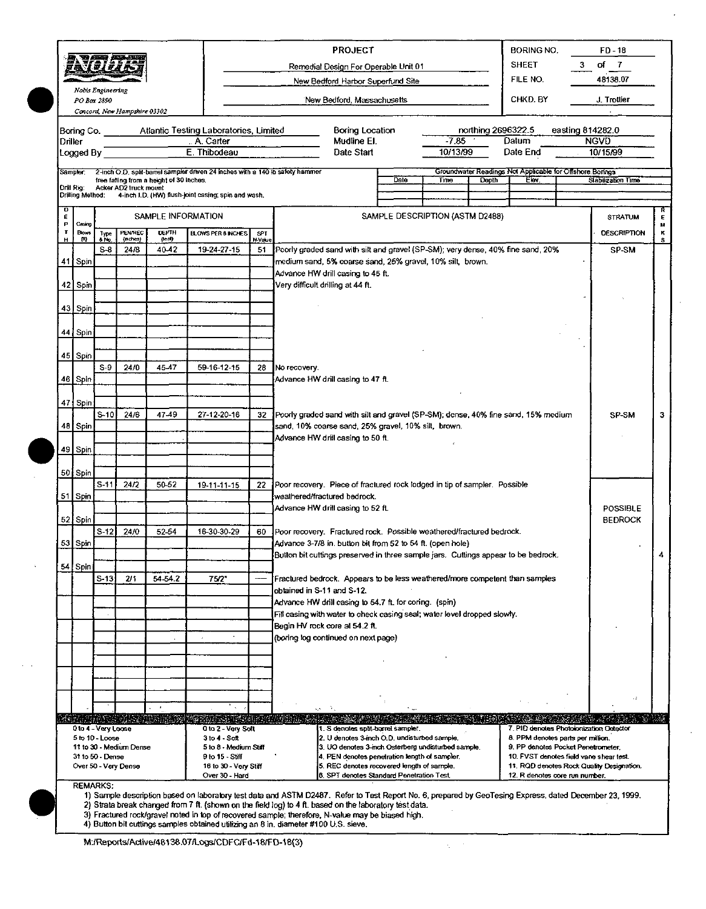|         |                   |                     | 、可是不是要                       |                                          |                                                                               |                                   | <b>PROJECT</b><br><b>BORING NO.</b>                                                                                                                                           | FD-18              |        |  |  |  |  |  |  |
|---------|-------------------|---------------------|------------------------------|------------------------------------------|-------------------------------------------------------------------------------|-----------------------------------|-------------------------------------------------------------------------------------------------------------------------------------------------------------------------------|--------------------|--------|--|--|--|--|--|--|
|         |                   | <u> 59191944</u>    |                              |                                          |                                                                               |                                   | <b>SHEET</b><br>3.<br>Remedial Design For Operable Unit 01                                                                                                                    | of 7               |        |  |  |  |  |  |  |
|         |                   |                     |                              |                                          |                                                                               |                                   | FILE NO.<br>New Bedford Harbor Superfund Site                                                                                                                                 | 48138.07           |        |  |  |  |  |  |  |
|         | PO Box 2890       | Nobis Engineering   |                              |                                          |                                                                               |                                   | CHKD. BY<br>New Bedford, Massachusetts                                                                                                                                        | J. Trottier        |        |  |  |  |  |  |  |
|         |                   |                     | Concord, New Hampshire 03302 |                                          |                                                                               |                                   |                                                                                                                                                                               |                    |        |  |  |  |  |  |  |
|         |                   |                     |                              |                                          | Boring Co. Atlantic Testing Laboratories, Limited                             |                                   | Boring Location<br>northing 2696322.5                                                                                                                                         | easting 814282.0   |        |  |  |  |  |  |  |
| Driller |                   |                     |                              |                                          | A. Carter<br>E. Thibodeau                                                     |                                   | $-7.85$<br>Mudline El.<br>Datum<br>10/13/99                                                                                                                                   | <b>NGVD</b>        |        |  |  |  |  |  |  |
|         | Logged By         |                     |                              |                                          |                                                                               |                                   | Date Start<br>Date End                                                                                                                                                        | 10/15/99           |        |  |  |  |  |  |  |
|         | Sampler:          |                     |                              | free falling from a height of 30 inches. | 2-inch O.D. split-barrel sampler driven 24 inches with a 140 ib safety hammer |                                   | Groundwater Readings Not Applicable for Offshore Borings<br>Date<br>Elev.<br>Time<br>Depth                                                                                    | Slabilization Time |        |  |  |  |  |  |  |
|         | Drill Rig:        |                     | Acker AD2 truck mount        |                                          | Drilling Method: 4-inch I.D. (HW) flush-joint casing; spin and wash.          |                                   |                                                                                                                                                                               |                    |        |  |  |  |  |  |  |
|         |                   |                     |                              |                                          |                                                                               |                                   |                                                                                                                                                                               |                    |        |  |  |  |  |  |  |
| Ę<br>p  | Casing            |                     |                              | SAMPLE INFORMATION                       |                                                                               |                                   | SAMPLE DESCRIPTION (ASTM D2488)                                                                                                                                               | <b>STRATUM</b>     | ε<br>м |  |  |  |  |  |  |
| н       | <b>Blows</b><br>m | Type<br>8 No.       | PENAREC<br>(nches)           | DEPTH<br>(teel)                          | <b>BLOWS PER 8 INCHES</b>                                                     | SPT<br>N-Value                    |                                                                                                                                                                               | <b>DESCRIPTION</b> | ĸ<br>s |  |  |  |  |  |  |
|         |                   | $S-8$               | 24/8                         | 40.42                                    | 19-24-27-15                                                                   | 51                                | Poorly graded sand with silt and gravel (SP-SM); very dense, 40% fine sand, 20%                                                                                               | SP-SM              |        |  |  |  |  |  |  |
|         | 41 Spin           |                     |                              |                                          |                                                                               |                                   | medium sand, 5% coarse sand, 25% gravel, 10% silt, brown.<br>Advance HW drill casing to 45 ft.                                                                                |                    |        |  |  |  |  |  |  |
|         | 42 Spin           |                     |                              |                                          |                                                                               | Very difficult drilling at 44 ft. |                                                                                                                                                                               |                    |        |  |  |  |  |  |  |
|         |                   |                     |                              |                                          |                                                                               |                                   |                                                                                                                                                                               |                    |        |  |  |  |  |  |  |
|         | 43 Spin           |                     |                              |                                          |                                                                               |                                   |                                                                                                                                                                               |                    |        |  |  |  |  |  |  |
|         | 44 Spin           |                     |                              |                                          |                                                                               |                                   |                                                                                                                                                                               |                    |        |  |  |  |  |  |  |
|         |                   |                     |                              |                                          |                                                                               |                                   |                                                                                                                                                                               |                    |        |  |  |  |  |  |  |
|         | 45 Spin           | $S-9$               | 24/0                         | 45.47                                    | 59-16-12-15                                                                   | 28                                | No recovery.                                                                                                                                                                  |                    |        |  |  |  |  |  |  |
|         | 46   Spin         |                     |                              |                                          |                                                                               |                                   | Advance HW drill casing to 47 ft.                                                                                                                                             |                    |        |  |  |  |  |  |  |
|         |                   |                     |                              |                                          |                                                                               |                                   |                                                                                                                                                                               |                    |        |  |  |  |  |  |  |
|         | 47 Spin           | $S-10$              | 24/6                         | 47-49                                    | 27-12-20-16                                                                   | 32                                | Poorly graded sand with silt and gravel (SP-SM); dense, 40% fine sand, 15% medium                                                                                             | SP-SM              | з      |  |  |  |  |  |  |
|         | 48 Spin           |                     |                              |                                          |                                                                               |                                   | sand, 10% coarse sand, 25% gravel, 10% silt, brown.                                                                                                                           |                    |        |  |  |  |  |  |  |
|         |                   |                     |                              |                                          |                                                                               |                                   | Advance HW drill casing to 50 ft.                                                                                                                                             |                    |        |  |  |  |  |  |  |
|         | 49   Spin         |                     |                              |                                          |                                                                               |                                   |                                                                                                                                                                               |                    |        |  |  |  |  |  |  |
|         | 50   Spin         |                     |                              |                                          |                                                                               |                                   |                                                                                                                                                                               |                    |        |  |  |  |  |  |  |
|         |                   | $S-11$              | 24/2                         | 50-52                                    | 19-11-11-15                                                                   | 22                                | Poor recovery. Piece of fractured rock lodged in tip of sampler. Possible<br>weathered/fractured bedrock.                                                                     |                    |        |  |  |  |  |  |  |
|         | 51 Spin           |                     |                              |                                          |                                                                               |                                   | Advance HW drill casing to 52 ft.                                                                                                                                             | POSSIBLE           |        |  |  |  |  |  |  |
|         | 52   Spin         |                     |                              |                                          |                                                                               |                                   |                                                                                                                                                                               | <b>BEDROCK</b>     |        |  |  |  |  |  |  |
|         | 53 Spin           | $S-12$              | 24/0                         | 52-54                                    | 16-30-30-29                                                                   | 60                                | Poor recovery. Fractured rock. Possible weathered/fractured bedrock.<br>Advance 3-7/8 in. button bit from 52 to 54 ft. (open hole)                                            |                    |        |  |  |  |  |  |  |
|         |                   |                     |                              |                                          |                                                                               |                                   | Button bit cuttings preserved in three sample jars. Cuttings appear to be bedrock                                                                                             |                    |        |  |  |  |  |  |  |
|         | 54 Spin           |                     |                              |                                          |                                                                               |                                   |                                                                                                                                                                               |                    |        |  |  |  |  |  |  |
|         |                   | $S-13$              | 2/1                          | 54 54.2                                  | 75/2"                                                                         |                                   | Fractured bedrock. Appears to be less weathered/more competent than samples<br>obtained in S-11 and S-12.                                                                     |                    |        |  |  |  |  |  |  |
|         |                   |                     |                              |                                          |                                                                               |                                   | Advance HW drill casing to 54.7 ft. for coring. (spin)                                                                                                                        |                    |        |  |  |  |  |  |  |
|         |                   |                     |                              |                                          |                                                                               |                                   | Fill casing with water to check casing seal; water level dropped slowly.                                                                                                      |                    |        |  |  |  |  |  |  |
|         |                   |                     |                              |                                          | $\epsilon$                                                                    |                                   | Begin HV rock core at 54.2 ft.<br>(boring log continued on next page)                                                                                                         |                    |        |  |  |  |  |  |  |
|         |                   |                     |                              |                                          |                                                                               |                                   |                                                                                                                                                                               |                    |        |  |  |  |  |  |  |
|         |                   |                     |                              |                                          |                                                                               |                                   |                                                                                                                                                                               |                    |        |  |  |  |  |  |  |
|         |                   |                     |                              |                                          |                                                                               |                                   |                                                                                                                                                                               |                    |        |  |  |  |  |  |  |
|         |                   |                     |                              |                                          |                                                                               |                                   |                                                                                                                                                                               |                    |        |  |  |  |  |  |  |
|         |                   |                     |                              |                                          |                                                                               |                                   |                                                                                                                                                                               |                    |        |  |  |  |  |  |  |
|         |                   | 0 to 4 - Very Loose |                              | ta da 2018a da a                         | (alient term<br>0 to 2 - Very Soft                                            |                                   | 1. S denotes split-barrel sampler.<br>7. PID denotes Photoionization Detector                                                                                                 |                    |        |  |  |  |  |  |  |
|         |                   |                     |                              |                                          | $3$ to $4 - S$ oft                                                            |                                   | 2. U denotes 3-inch O.D. undisturbed sample.<br>8. PPM denotes parts per million.<br>3. UO denotes 3-inch Osterberg undisturbed sample.<br>9. PP denotes Pocket Penetrometer. |                    |        |  |  |  |  |  |  |
|         | 5 to 10 Loose     |                     |                              |                                          |                                                                               |                                   |                                                                                                                                                                               |                    |        |  |  |  |  |  |  |
|         |                   | 31 to 50 - Dense    | 11 to 30 - Medium Dense      |                                          | 5 to 8 - Medium Stiff<br>9 to 15 - Stiff                                      |                                   | 4. PEN denotes penetration length of sampler.<br>10. FVST denotes field vane shear test.                                                                                      |                    |        |  |  |  |  |  |  |
|         |                   |                     | Over 50 - Very Dense         |                                          | 16 to 30 - Very Stiff<br>Over 30 - Hard                                       |                                   | 5. REC denotes recovered length of sample.<br>11. RQD denotes Rock Quality Designation.<br>6. SPT denotes Standard Penetration Test.<br>12. R denotes core run number.        |                    |        |  |  |  |  |  |  |

 $\chi^2/\chi^2$ 

3) Fractured rock/gravel noted in top of recovered sample; therefore, N-value may be biased high.<br>4) Button bit cuttings samples obtained utilizing an 8 in. diameter #100 U.S. sieve.

M:/Reports/Active/48138.07/Logs/CDFC/Fd-18/FD-18(3)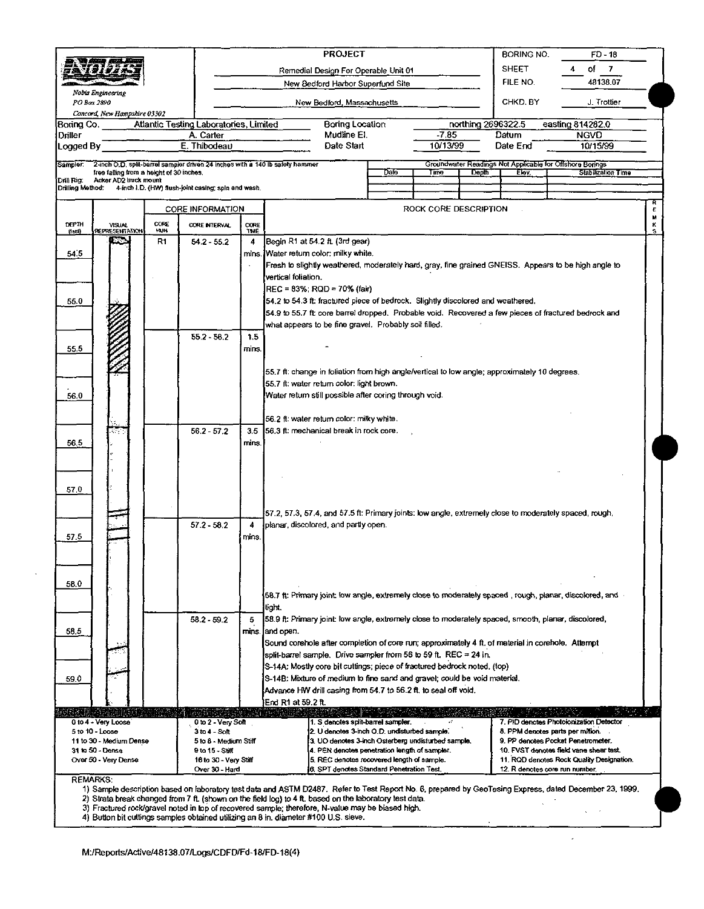|                  |                                                                   |               |                                                                               |               | <b>PROJECT</b>                                                                                                              |      | <b>BORING NO.</b><br>FD - 18 |                    |          |                                                                               |             |
|------------------|-------------------------------------------------------------------|---------------|-------------------------------------------------------------------------------|---------------|-----------------------------------------------------------------------------------------------------------------------------|------|------------------------------|--------------------|----------|-------------------------------------------------------------------------------|-------------|
|                  |                                                                   |               |                                                                               |               | Remedial Design For Operable Unit 01                                                                                        |      | <b>SHEET</b>                 | οf<br>7            |          |                                                                               |             |
|                  |                                                                   |               |                                                                               |               | New Bedford Harbor Superfund Site                                                                                           |      | FILE NO.                     | 48138.07           |          |                                                                               |             |
|                  | Nobis Engineering<br>PO Box 2890<br>Concord, New Hampshire 03302  |               |                                                                               |               | New Bedford, Massachusetts                                                                                                  |      | CHKD. BY                     | J. Trottier        |          |                                                                               |             |
| Boring Co.       |                                                                   |               | Atlantic Testing Laboratories, Limited                                        |               | <b>Boring Location</b>                                                                                                      |      |                              | northing 2696322.5 |          | easting 814282.0                                                              |             |
| Driller          |                                                                   |               | A. Carter                                                                     |               | Mudline El.                                                                                                                 |      | -7.85                        |                    | Datum    | <b>NGVD</b>                                                                   |             |
| Logged By        |                                                                   |               | E. Thibodeau                                                                  |               | Date Start                                                                                                                  |      | 10/13/99                     |                    | Date End | 10/15/99                                                                      |             |
| Sampler:         |                                                                   |               | 2-inch O.D. split-barrel sampler driven 24 inches with a 140 lb safety hammer |               |                                                                                                                             | Date | Time                         | Depth              | Elev.    | Groundwater Readings Not Applicable for Offshore Bonngs<br>Stabilization Time |             |
| Drill Rig.       | free falling from a height of 30 inches.<br>Acker AD2 truck mount |               |                                                                               |               |                                                                                                                             |      |                              |                    |          |                                                                               |             |
| Drilling Method: |                                                                   |               | 4-inch I.D. (HW) flush-joint casing; spin and wash.                           |               |                                                                                                                             |      |                              |                    |          |                                                                               |             |
|                  |                                                                   |               | <b>CORE INFORMATION</b>                                                       |               |                                                                                                                             |      | ROCK CORE DESCRIPTION        |                    |          |                                                                               | R<br>£      |
| DEP™<br>(let)    | <b>VISUAL</b><br>REPRESENTATION                                   | CORE<br>18311 | <b>CORE INTERVAL</b>                                                          | CORE<br>TIME. |                                                                                                                             |      |                              |                    |          |                                                                               | u<br>ĸ<br>s |
|                  |                                                                   | R1            | $54.2 - 55.2$                                                                 | 4             | Begin R1 at 54.2 ft (3rd gear)                                                                                              |      |                              |                    |          |                                                                               |             |
| 54.5             |                                                                   |               |                                                                               |               | mins. Water return color: milky white.                                                                                      |      |                              |                    |          |                                                                               |             |
|                  |                                                                   |               |                                                                               |               | Fresh to slightly weathered, moderately hard, gray, fine grained GNEISS. Appears to be high angle to<br>vertical foliation. |      |                              |                    |          |                                                                               |             |
|                  |                                                                   |               |                                                                               |               | REC = 83%; RQD = 70% (fair)                                                                                                 |      |                              |                    |          |                                                                               |             |
| 55.0             |                                                                   |               |                                                                               |               | 54.2 to 54.3 ft; fractured piece of bedrock. Slightly discolored and weathered.                                             |      |                              |                    |          |                                                                               |             |
|                  |                                                                   |               |                                                                               |               | 54.9 to 55.7 ft; core barrel dropped. Probable void. Recovered a few pieces of fractured bedrock and                        |      |                              |                    |          |                                                                               |             |
|                  |                                                                   |               |                                                                               |               | what appears to be fine gravel. Probably soil filled.                                                                       |      |                              |                    |          |                                                                               |             |
|                  |                                                                   |               | $55.2 - 56.2$                                                                 | 1.5           |                                                                                                                             |      |                              |                    |          |                                                                               |             |
| 55.5             |                                                                   |               |                                                                               | mins.         |                                                                                                                             |      |                              |                    |          |                                                                               |             |
|                  |                                                                   |               |                                                                               |               | 55.7 ft: change in foliation from high angle/vertical to low angle; approximately 10 degrees.                               |      |                              |                    |          |                                                                               |             |
|                  |                                                                   |               |                                                                               |               | 55.7 ft: water return color: light brown.                                                                                   |      |                              |                    |          |                                                                               |             |
| 56.0             |                                                                   |               |                                                                               |               | Water return still possible after coring through void.                                                                      |      |                              |                    |          |                                                                               |             |
|                  |                                                                   |               |                                                                               |               |                                                                                                                             |      |                              |                    |          |                                                                               |             |
|                  |                                                                   |               | $56.2 - 57.2$                                                                 | 3.5           | 56.2 ft: water return color: milky white.<br>156.3 ft: mechanical break in rock core.                                       |      |                              |                    |          |                                                                               |             |
| 56.5             |                                                                   |               |                                                                               | mins.         |                                                                                                                             |      |                              |                    |          |                                                                               |             |
|                  |                                                                   |               |                                                                               |               |                                                                                                                             |      |                              |                    |          |                                                                               |             |
|                  |                                                                   |               |                                                                               |               |                                                                                                                             |      |                              |                    |          |                                                                               |             |
| 57.0             |                                                                   |               |                                                                               |               |                                                                                                                             |      |                              |                    |          |                                                                               |             |
|                  |                                                                   |               |                                                                               |               |                                                                                                                             |      |                              |                    |          |                                                                               |             |
|                  |                                                                   |               |                                                                               |               | 57.2, 57.3, 57.4, and 57.5 ft: Primary joints: low angle, extremely close to moderately spaced, rough,                      |      |                              |                    |          |                                                                               |             |
|                  |                                                                   |               | $57.2 - 58.2$                                                                 | 4             | Jplanar, discolored, and partly open.                                                                                       |      |                              |                    |          |                                                                               |             |
| 57.5             |                                                                   |               |                                                                               | mins.         |                                                                                                                             |      |                              |                    |          |                                                                               |             |
|                  |                                                                   |               |                                                                               |               |                                                                                                                             |      |                              |                    |          |                                                                               |             |
|                  |                                                                   |               |                                                                               |               |                                                                                                                             |      |                              |                    |          |                                                                               |             |
| 58.0             |                                                                   |               |                                                                               |               |                                                                                                                             |      |                              |                    |          |                                                                               |             |
|                  |                                                                   |               |                                                                               |               | . 58.7 ft: Primary joint: low angle, extremely close to moderately spaced, rough, planar, discolored, and                   |      |                              |                    |          |                                                                               |             |
|                  |                                                                   |               |                                                                               |               | tight.                                                                                                                      |      |                              |                    |          |                                                                               |             |
| 58.5             |                                                                   |               | $58.2 - 59.2$                                                                 | 5             | 58.9 ft: Primary joint: low angle, extremely close to moderately spaced, smooth, planar, discolored,<br>mins (and open.     |      |                              |                    |          |                                                                               |             |
|                  |                                                                   |               |                                                                               |               | Sound corehole after completion of core run; approximately 4 ft. of material in corehole. Attempt                           |      |                              |                    |          |                                                                               |             |
|                  |                                                                   |               |                                                                               |               | split-barrel sample. Drive sampler from 56 to 59 ft. REC = 24 in.                                                           |      |                              |                    |          |                                                                               |             |
|                  |                                                                   |               |                                                                               |               | S-14A: Mostly core bit cuttings; piece of fractured bedrock noted. (top)                                                    |      |                              |                    |          |                                                                               |             |
| 69.0             |                                                                   |               |                                                                               |               | S-14B: Mixture of medium to fine sand and gravel; could be void material.                                                   |      |                              |                    |          |                                                                               |             |
|                  |                                                                   |               |                                                                               |               | Advance HW drill casing from 54.7 to 56.2 ft. to seal off void.<br>End R1 at 59.2 ft.                                       |      |                              |                    |          |                                                                               |             |
|                  |                                                                   |               |                                                                               |               |                                                                                                                             |      |                              |                    |          |                                                                               |             |
|                  | 0 to 4 - Very Loose                                               |               | 0 to 2 - Very Soft                                                            |               | 1. S denotes split-barrel sampler.<br>2. U denotes 3-inch O.D. undisturbed sample.                                          |      |                              |                    |          | 7. PID denotes Photoionization Detector                                       |             |
|                  | 5 to 10 - Loose<br>11 to 30 Medium Dense                          |               | 3 to 4 - Soft<br>5 to 8 - Medium Stiff                                        |               | 3. UO denotes 3-inch Osterberg undisturbed sample,                                                                          |      |                              |                    |          | 8. PPM denotes parts per million.<br>9. PP denotes Pocket Penetrometer.       |             |
|                  | 31 to 50 - Dense                                                  |               | 9 to 15 Stiff                                                                 |               | 4. PEN denotes penetration length of sampler.                                                                               |      |                              |                    |          | 10. FVST denotes field vane shear test.                                       |             |
|                  | Over 50 - Very Dense                                              |               | 16 to 30 - Very Stiff                                                         |               | 5. REC denotes recovered length of sample.                                                                                  |      |                              |                    |          | 11. RQD denotes Rock Quality Designation.                                     |             |

 $\sqrt{1-\epsilon}$ 

 $\overline{a}$ 

2) Strata break changed from 7 it. (shown on the field log) to 4 it. based on the laboratory test data<br>3) Fractured rock/gravel noted in top of recovered sample; therefore, N-value may be biased high.<br>4) Button bit cutting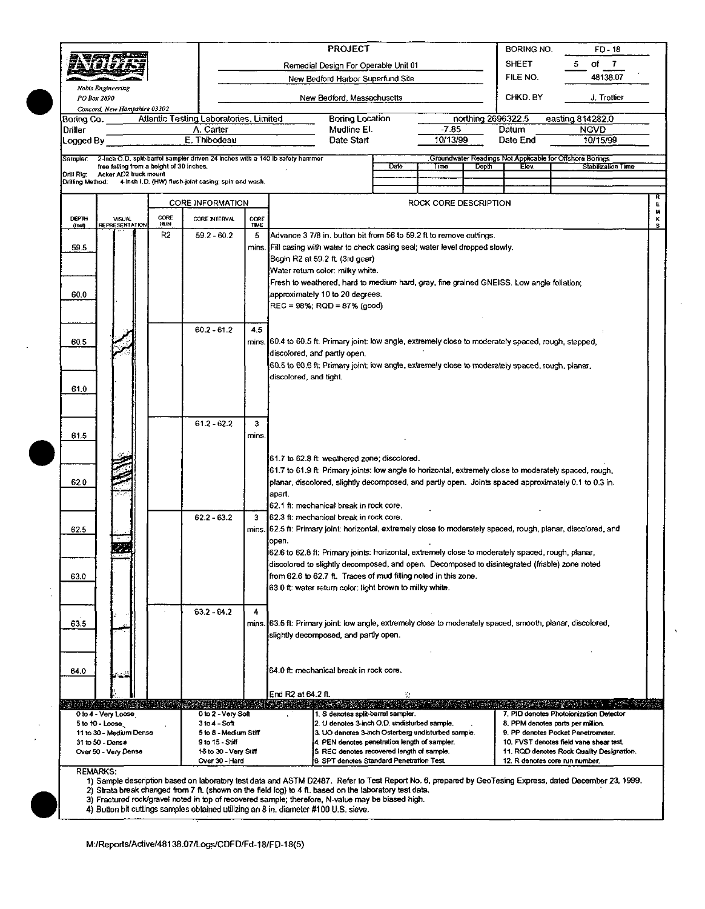|                      |                                                                                                                           |                    |                                                     |                                                                                                                                 |                                         | <b>PROJECT</b>                                                                                              | <b>BORING NO.</b>                                                                                              | $FD - 18$             |                    |                   |                                                                                                                                                         |   |  |  |
|----------------------|---------------------------------------------------------------------------------------------------------------------------|--------------------|-----------------------------------------------------|---------------------------------------------------------------------------------------------------------------------------------|-----------------------------------------|-------------------------------------------------------------------------------------------------------------|----------------------------------------------------------------------------------------------------------------|-----------------------|--------------------|-------------------|---------------------------------------------------------------------------------------------------------------------------------------------------------|---|--|--|
|                      |                                                                                                                           |                    | Remedial Design For Operable Unit 01                |                                                                                                                                 |                                         |                                                                                                             |                                                                                                                |                       |                    | <b>SHEET</b>      | of<br>$\mathbf{7}$                                                                                                                                      |   |  |  |
|                      |                                                                                                                           |                    |                                                     |                                                                                                                                 |                                         | New Bedford Harbor Superfund Site                                                                           |                                                                                                                |                       |                    | FILE NO.          | 48138.07                                                                                                                                                |   |  |  |
| PO Box 2890          | Nobis Engineering                                                                                                         |                    |                                                     |                                                                                                                                 |                                         | New Bedford, Massachusetts                                                                                  |                                                                                                                |                       |                    | CHKD. BY          | J. Trottier                                                                                                                                             |   |  |  |
|                      | Concord, New Hampshire 03302                                                                                              |                    |                                                     |                                                                                                                                 |                                         |                                                                                                             |                                                                                                                |                       |                    |                   |                                                                                                                                                         |   |  |  |
| Boring Co.           |                                                                                                                           |                    | Atlantic Testing Laboratories, Limited              |                                                                                                                                 |                                         | <b>Boring Location</b>                                                                                      |                                                                                                                |                       | northing 2696322.5 |                   | easting 814282.0                                                                                                                                        |   |  |  |
| Driller<br>Logged By |                                                                                                                           |                    | A. Carter<br>E. Thibodeau                           |                                                                                                                                 |                                         | Mudline El.<br>Date Start                                                                                   |                                                                                                                | $-7.85$<br>10/13/99   |                    | Datum<br>Date End | <b>NGVD</b><br>10/15/99                                                                                                                                 |   |  |  |
|                      |                                                                                                                           |                    |                                                     |                                                                                                                                 |                                         |                                                                                                             |                                                                                                                |                       |                    |                   |                                                                                                                                                         |   |  |  |
| Sampler.             | 2-inch O.D. split-barrel sampler driven 24 inches with a 140 lb safety hammer<br>free falling from a height of 30 inches. |                    |                                                     |                                                                                                                                 |                                         |                                                                                                             | Date                                                                                                           | Time                  | Depth              | Elev.             | Groundwater Readings Not Applicable for Offshore Borings<br>Stabilization Time                                                                          |   |  |  |
| Drilling Method:     | Drill Rig: Acker AD2 truck mount                                                                                          |                    | 4-lnch I.D. (HW) flush-joint casing; spin and wash. |                                                                                                                                 |                                         |                                                                                                             |                                                                                                                |                       |                    |                   |                                                                                                                                                         |   |  |  |
|                      |                                                                                                                           |                    |                                                     |                                                                                                                                 |                                         |                                                                                                             |                                                                                                                |                       |                    |                   |                                                                                                                                                         |   |  |  |
|                      |                                                                                                                           |                    | <b>CORE INFORMATION</b>                             |                                                                                                                                 |                                         |                                                                                                             |                                                                                                                | ROCK CORE DESCRIPTION |                    |                   |                                                                                                                                                         | Ε |  |  |
| DEPTH<br>(leef)      | <b>VISUAL</b><br>REPRESENTATION                                                                                           | CORE<br><b>HUN</b> | CORE INTERVAL                                       | CORE<br>TME                                                                                                                     |                                         |                                                                                                             |                                                                                                                |                       |                    |                   |                                                                                                                                                         | 5 |  |  |
|                      |                                                                                                                           | R2                 | $59.2 - 60.2$                                       | 5                                                                                                                               |                                         | Advance 3 7/8 in. button bit from 56 to 59.2 ft to remove cuttings.                                         |                                                                                                                |                       |                    |                   |                                                                                                                                                         |   |  |  |
| 59.5                 |                                                                                                                           |                    |                                                     | mins.                                                                                                                           |                                         | Fill casing with water to check casing seal; water level dropped slowly.                                    |                                                                                                                |                       |                    |                   |                                                                                                                                                         |   |  |  |
|                      |                                                                                                                           |                    |                                                     |                                                                                                                                 |                                         | Begin R2 at 59.2 ft (3rd gear)<br>Water return color: milky white.                                          |                                                                                                                |                       |                    |                   |                                                                                                                                                         |   |  |  |
|                      |                                                                                                                           |                    |                                                     |                                                                                                                                 |                                         | Fresh to weathered, hard to medium hard, gray, fine grained GNEISS. Low angle foliation;                    |                                                                                                                |                       |                    |                   |                                                                                                                                                         |   |  |  |
| 60.0                 |                                                                                                                           |                    |                                                     |                                                                                                                                 | approximately 10 to 20 degrees.         |                                                                                                             |                                                                                                                |                       |                    |                   |                                                                                                                                                         |   |  |  |
|                      |                                                                                                                           |                    |                                                     |                                                                                                                                 | REC = 98%; RQD = 87% (good)             |                                                                                                             |                                                                                                                |                       |                    |                   |                                                                                                                                                         |   |  |  |
|                      |                                                                                                                           |                    | $60.2 - 61.2$                                       | 4,5                                                                                                                             |                                         |                                                                                                             |                                                                                                                |                       |                    |                   |                                                                                                                                                         |   |  |  |
| 60.5                 |                                                                                                                           |                    |                                                     |                                                                                                                                 |                                         | mins. 60.4 to 60.5 ft: Primary joint: low angle, extremely close to moderately spaced, rough, stepped,      |                                                                                                                |                       |                    |                   |                                                                                                                                                         |   |  |  |
|                      |                                                                                                                           |                    |                                                     | discolored, and partly open.<br>60.5 to 60.6 ft; Primary joint: low angle, extremely close to moderately spaced, rough, planar, |                                         |                                                                                                             |                                                                                                                |                       |                    |                   |                                                                                                                                                         |   |  |  |
|                      |                                                                                                                           |                    |                                                     |                                                                                                                                 | discolored, and tight.                  |                                                                                                             |                                                                                                                |                       |                    |                   |                                                                                                                                                         |   |  |  |
| 61.0                 |                                                                                                                           |                    |                                                     |                                                                                                                                 |                                         |                                                                                                             |                                                                                                                |                       |                    |                   |                                                                                                                                                         |   |  |  |
|                      |                                                                                                                           |                    |                                                     |                                                                                                                                 |                                         |                                                                                                             |                                                                                                                |                       |                    |                   |                                                                                                                                                         |   |  |  |
|                      |                                                                                                                           |                    |                                                     |                                                                                                                                 |                                         |                                                                                                             |                                                                                                                |                       |                    |                   |                                                                                                                                                         |   |  |  |
|                      |                                                                                                                           |                    | $61.2 - 62.2$                                       | 3                                                                                                                               |                                         |                                                                                                             |                                                                                                                |                       |                    |                   |                                                                                                                                                         |   |  |  |
| 61.5                 |                                                                                                                           |                    |                                                     | mins.                                                                                                                           |                                         |                                                                                                             |                                                                                                                |                       |                    |                   |                                                                                                                                                         |   |  |  |
|                      |                                                                                                                           |                    |                                                     |                                                                                                                                 |                                         | 61.7 to 62.8 ft: weathered zone; discolored.                                                                |                                                                                                                |                       |                    |                   |                                                                                                                                                         |   |  |  |
|                      |                                                                                                                           |                    |                                                     |                                                                                                                                 |                                         |                                                                                                             |                                                                                                                |                       |                    |                   | 61.7 to 61.9 ft; Primary joints: low angle to horizontal, extremely close to moderately spaced, rough,                                                  |   |  |  |
| 62.0                 |                                                                                                                           |                    |                                                     |                                                                                                                                 | apart.                                  |                                                                                                             |                                                                                                                |                       |                    |                   | planar, discolored, slightly decomposed, and partly open. Joints spaced approximately 0.1 to 0.3 in.                                                    |   |  |  |
|                      |                                                                                                                           |                    |                                                     |                                                                                                                                 |                                         | 62.1 ft: mechanical break in rock core.                                                                     |                                                                                                                |                       |                    |                   |                                                                                                                                                         |   |  |  |
|                      |                                                                                                                           |                    | $62.2 - 63.2$                                       | 3                                                                                                                               | 62.3 ft: mechanical break in rock core. |                                                                                                             |                                                                                                                |                       |                    |                   |                                                                                                                                                         |   |  |  |
| 62.5                 |                                                                                                                           |                    |                                                     |                                                                                                                                 |                                         |                                                                                                             | mins. 62.5 ft: Primary joint: horizontal, extremely close to moderately spaced, rough, planar, discolored, and |                       |                    |                   |                                                                                                                                                         |   |  |  |
|                      |                                                                                                                           |                    |                                                     |                                                                                                                                 | open.                                   | 62.6 to 62.8 ft: Primary joints: horizontal, extremely close to moderately spaced, rough, planar,           |                                                                                                                |                       |                    |                   |                                                                                                                                                         |   |  |  |
|                      |                                                                                                                           |                    |                                                     |                                                                                                                                 |                                         | discolored to slightly decomposed, and open. Decomposed to disintegrated (friable) zone noted               |                                                                                                                |                       |                    |                   |                                                                                                                                                         |   |  |  |
| 63.0                 |                                                                                                                           |                    |                                                     |                                                                                                                                 |                                         | from 62.6 to 62.7 ft. Traces of mud filling noted in this zone.                                             |                                                                                                                |                       |                    |                   |                                                                                                                                                         |   |  |  |
|                      |                                                                                                                           |                    |                                                     |                                                                                                                                 |                                         | 63.0 ft: water return color: light brown to milky white.                                                    |                                                                                                                |                       |                    |                   |                                                                                                                                                         |   |  |  |
|                      |                                                                                                                           |                    | $63.2 - 64.2$                                       | 4                                                                                                                               |                                         |                                                                                                             |                                                                                                                |                       |                    |                   |                                                                                                                                                         |   |  |  |
| 63.5                 |                                                                                                                           |                    |                                                     |                                                                                                                                 |                                         | mins. [63.5 ft: Primary joint: low angle, extremely close to moderately spaced, smooth, planar, discolored, |                                                                                                                |                       |                    |                   |                                                                                                                                                         |   |  |  |
|                      |                                                                                                                           |                    |                                                     |                                                                                                                                 |                                         | slightly decomposed, and partly open.                                                                       |                                                                                                                |                       |                    |                   |                                                                                                                                                         |   |  |  |
|                      |                                                                                                                           |                    |                                                     |                                                                                                                                 |                                         |                                                                                                             |                                                                                                                |                       |                    |                   |                                                                                                                                                         |   |  |  |
| 64.0                 |                                                                                                                           |                    |                                                     |                                                                                                                                 |                                         | 64.0 ft: mechanical break in rock core.                                                                     |                                                                                                                |                       |                    |                   |                                                                                                                                                         |   |  |  |
|                      |                                                                                                                           |                    |                                                     |                                                                                                                                 |                                         |                                                                                                             |                                                                                                                |                       |                    |                   |                                                                                                                                                         |   |  |  |
|                      |                                                                                                                           |                    |                                                     |                                                                                                                                 | End R2 at 64.2 ft.                      |                                                                                                             | $\mathcal{L}$                                                                                                  |                       | <b>CARL BOOK</b>   |                   |                                                                                                                                                         |   |  |  |
| 5255233391           | <b>TAKES IN STRAKES IN ASSESS</b><br>0 to 4 - Very Loose                                                                  |                    | 요리된 최종 데리 인도(국 이 : 도움<br>0 to 2 - Very Soft         |                                                                                                                                 | in tantanya                             | 1. S denotes split-barrel sampler.                                                                          |                                                                                                                |                       |                    |                   | 法政治案的的诉讼 长。<br>7. PID denotes Photoionization Detector                                                                                                  |   |  |  |
|                      | 5 to 10 - Loose<br>11 to 30 - Medium Dense                                                                                |                    | $3 to 4 - S$ oft<br>5 to 8 - Medium Stiff           |                                                                                                                                 |                                         | 2. U denotes 3-inch O.D. undisturbed sample.<br>3. UO denotes 3-inch Osterberg undisturbed sample.          |                                                                                                                |                       |                    |                   | 8. PPM denotes parts per million.<br>9. PP denotes Pocket Penetrometer.                                                                                 |   |  |  |
|                      | 31 to 50 - Dense                                                                                                          |                    | 9 to 15 Stiff                                       |                                                                                                                                 |                                         | 4. PEN denotes penetration length of sampler.                                                               |                                                                                                                |                       |                    |                   | 10. FVST denotes field vane shear test.                                                                                                                 |   |  |  |
|                      | Over 50 - Very Dense                                                                                                      |                    | 16 to 30 - Very Stiff<br>Over 30 - Hard             |                                                                                                                                 |                                         | 5. REC denotes recovered length of sample.<br>6. SPT denotes Standard Penetration Test.                     |                                                                                                                |                       |                    |                   | 11. RQD denotes Rock Quality Designation.<br>12. R denotes core run number,                                                                             |   |  |  |
| <b>REMARKS:</b>      |                                                                                                                           |                    |                                                     |                                                                                                                                 |                                         |                                                                                                             |                                                                                                                |                       |                    |                   |                                                                                                                                                         |   |  |  |
|                      |                                                                                                                           |                    |                                                     |                                                                                                                                 |                                         | 2) Strata break changed from 7 ft. (shown on the field log) to 4 ft. based on the laboratory test data.     |                                                                                                                |                       |                    |                   | 1) Sample description based on laboratory test data and ASTM D2487. Refer to Test Report No. 6, prepared by GeoTesing Express, dated December 23, 1999. |   |  |  |

- 3) Fractured rock/gravel noted in top of recovered sample; therefore, N-value may be biased high.<br>4) Button bit cuttings samples obtained utilizing an 8 in. diameter #100 U.S. sieve.
-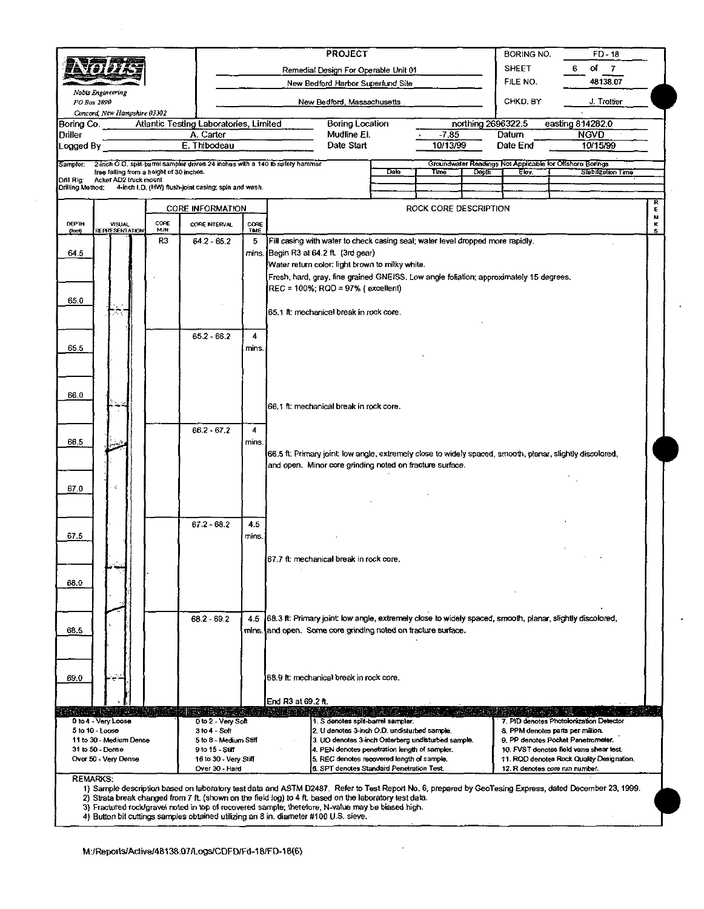|                               |                                          |                  |                                                                               |            | <b>PROJECT</b>                                                                                             |      | BORING NO.<br><b>FD-18</b> |                      |                                                                             |                                                                                |  |  |
|-------------------------------|------------------------------------------|------------------|-------------------------------------------------------------------------------|------------|------------------------------------------------------------------------------------------------------------|------|----------------------------|----------------------|-----------------------------------------------------------------------------|--------------------------------------------------------------------------------|--|--|
|                               |                                          |                  |                                                                               |            | Remedial Design For Operable Unit 01                                                                       |      | <b>SHEET</b>               | оf<br>- 7<br>6       |                                                                             |                                                                                |  |  |
|                               | <b>Noois Engineering</b>                 |                  |                                                                               |            | New Bedford Harbor Superfund Site                                                                          |      |                            | 48138.07<br>FILE NO. |                                                                             |                                                                                |  |  |
|                               | PO Box 2890                              |                  |                                                                               |            | New Bedford, Massachusetts                                                                                 |      |                            | CHKD. BY             | J. Trottier                                                                 |                                                                                |  |  |
| Boring Co. .                  | Concord, New Hampshire 03302             |                  | Atlantic Testing Laboratories, Limited                                        |            | Boring Location                                                                                            |      |                            | northing 2696322.5   |                                                                             | easting 814282.0                                                               |  |  |
| Driller                       |                                          |                  | A. Carter                                                                     |            | Mudline El.                                                                                                |      | $-7.85$                    |                      | Datum                                                                       | <b>NGVD</b>                                                                    |  |  |
| Logged By                     |                                          |                  | E. Thibodeau                                                                  |            | Date Start                                                                                                 |      | 10/13/99                   |                      | Date End                                                                    | 10/15/99                                                                       |  |  |
| Sampler                       | free falling from a height of 30 inches. |                  | 2-inch O.D. split-barrel sampler driven 24 inches with a 140 lb safety hammer |            |                                                                                                            | Date | Time <sup>-</sup>          | Depth                | Elev.                                                                       | Groundwater Readings Not Applicable for Offshore Borings<br>Stebilization Time |  |  |
| Drill Rig<br>Drilling Method: | Acker AD2 truck mount                    |                  | 4-inch I.D. (HW) flush-joint casing; spin and wash.                           |            |                                                                                                            |      |                            |                      |                                                                             |                                                                                |  |  |
|                               |                                          |                  | <b>CORE INFORMATION</b>                                                       |            |                                                                                                            |      | ROCK CORE DESCRIPTION      |                      |                                                                             |                                                                                |  |  |
| DEPTH                         | <b>VISUAL</b>                            | CORE             | CORE INTERVAL                                                                 | CORE       |                                                                                                            |      |                            |                      |                                                                             |                                                                                |  |  |
| (feet)                        | REPRESENTATION                           | <b>HUN</b><br>R3 | 64.2 - 65.2                                                                   | TIME<br>5  | Fill casing with water to check casing seal; water level dropped more rapidly.                             |      |                            |                      |                                                                             |                                                                                |  |  |
| 64.5                          |                                          |                  |                                                                               |            | mins. Begin R3 at 64.2 ft. (3rd gear)                                                                      |      |                            |                      |                                                                             |                                                                                |  |  |
|                               |                                          |                  |                                                                               |            | Water return color: light brown to milky white.                                                            |      |                            |                      |                                                                             |                                                                                |  |  |
|                               |                                          |                  |                                                                               |            | Fresh, hard, gray, fine grained GNEISS. Low angle foliation; approximately 15 degrees.                     |      |                            |                      |                                                                             |                                                                                |  |  |
| 65.0                          |                                          |                  |                                                                               |            | REC = 100%; RQD = 97% (excellent)                                                                          |      |                            |                      |                                                                             |                                                                                |  |  |
|                               |                                          |                  |                                                                               |            | 65.1 ft: mechanical break in rock core.                                                                    |      |                            |                      |                                                                             |                                                                                |  |  |
|                               |                                          |                  |                                                                               |            |                                                                                                            |      |                            |                      |                                                                             |                                                                                |  |  |
| 65.5                          |                                          |                  | 65.2 66.2                                                                     | 4<br>mins. |                                                                                                            |      |                            |                      |                                                                             |                                                                                |  |  |
|                               |                                          |                  |                                                                               |            |                                                                                                            |      |                            |                      |                                                                             |                                                                                |  |  |
|                               |                                          |                  |                                                                               |            |                                                                                                            |      |                            |                      |                                                                             |                                                                                |  |  |
|                               |                                          |                  |                                                                               |            |                                                                                                            |      |                            |                      |                                                                             |                                                                                |  |  |
| 66.0                          |                                          |                  |                                                                               |            | 66.1 ft: mechanical break in rock core.                                                                    |      |                            |                      |                                                                             |                                                                                |  |  |
|                               |                                          |                  |                                                                               |            |                                                                                                            |      |                            |                      |                                                                             |                                                                                |  |  |
|                               |                                          |                  | $662 - 672$                                                                   | 4          |                                                                                                            |      |                            |                      |                                                                             |                                                                                |  |  |
| 66.5                          |                                          |                  |                                                                               | mins.      | 66.5 ft: Primary joint: low angle, extremely close to widely spaced, smooth, planar, slightly discolored,  |      |                            |                      |                                                                             |                                                                                |  |  |
|                               |                                          |                  |                                                                               |            | and open. Minor core grinding noted on fracture surface.                                                   |      |                            |                      |                                                                             |                                                                                |  |  |
| 67.0                          |                                          |                  |                                                                               |            |                                                                                                            |      |                            |                      |                                                                             |                                                                                |  |  |
|                               |                                          |                  |                                                                               |            |                                                                                                            |      |                            |                      |                                                                             |                                                                                |  |  |
|                               |                                          |                  |                                                                               |            |                                                                                                            |      |                            |                      |                                                                             |                                                                                |  |  |
|                               |                                          |                  | 67.2 - 68.2                                                                   | 4.5        |                                                                                                            |      |                            |                      |                                                                             |                                                                                |  |  |
| 67.5                          |                                          |                  |                                                                               | mins.      |                                                                                                            |      |                            |                      |                                                                             |                                                                                |  |  |
|                               |                                          |                  |                                                                               |            | 67.7 ft: mechanical break in rock core.                                                                    |      |                            |                      |                                                                             |                                                                                |  |  |
|                               |                                          |                  |                                                                               |            |                                                                                                            |      |                            |                      |                                                                             |                                                                                |  |  |
| 68.0                          |                                          |                  |                                                                               |            |                                                                                                            |      |                            |                      |                                                                             |                                                                                |  |  |
|                               |                                          |                  |                                                                               |            |                                                                                                            |      |                            |                      |                                                                             |                                                                                |  |  |
|                               |                                          |                  | 68.2 - 69.2                                                                   | 4.5        | [68.3 ft: Primary joint: low angle, extremely close to widely spaced, smooth, planar, slightly discolored, |      |                            |                      |                                                                             |                                                                                |  |  |
| 68.5                          |                                          |                  |                                                                               |            | mins. and open. Some core grinding noted on fracture surface.                                              |      |                            |                      |                                                                             |                                                                                |  |  |
|                               |                                          |                  |                                                                               |            |                                                                                                            |      |                            |                      |                                                                             |                                                                                |  |  |
|                               |                                          |                  |                                                                               |            |                                                                                                            |      |                            |                      |                                                                             |                                                                                |  |  |
| 69.0                          |                                          |                  |                                                                               |            | 68.9 ft: mechanical break in rock core.                                                                    |      |                            |                      |                                                                             |                                                                                |  |  |
|                               |                                          |                  |                                                                               |            | End R3 at 69.2 ft.                                                                                         |      |                            |                      |                                                                             |                                                                                |  |  |
|                               |                                          |                  |                                                                               |            |                                                                                                            |      |                            |                      |                                                                             |                                                                                |  |  |
|                               | D to 4 - Very Loose<br>5 to 10 - Loose   |                  | 0 to 2 - Very Soft<br>3 to 4 - Soft                                           |            | 1. S denotes spin-barrel sampler.<br>2. U denotes 3-inch O.D. undisturbed sample.                          |      |                            |                      |                                                                             | 7. PID denotes Photoionization Detector<br>8. PPM denotes parts per million.   |  |  |
|                               | 11 to 30 - Medium Dense                  |                  | 5 to 8 - Medium Stiff                                                         |            | 3. UO denotes 3-inch Osterberg undisturbed sample.                                                         |      |                            |                      |                                                                             | 9. PP denotes Pocket Penetrometer.                                             |  |  |
|                               | 31 to 50 - Dense<br>Over 50 - Very Dense |                  | 9 to 15 - Stiff<br>16 to 30 - Very Stiff                                      |            | 4. PEN denotes penetration length of sampler.<br>5. REC denotes recovered length of sample.                |      |                            |                      |                                                                             | 10. FVST denotes field vane shear test.                                        |  |  |
|                               |                                          |                  | Over 30 - Hard                                                                |            | 6. SPT denotes Standard Penetration Test.                                                                  |      |                            |                      | 11. RQD denotes Rock Quality Designation.<br>12. R denotes core run number. |                                                                                |  |  |

 $\overline{\phantom{a}}$ 

3) Fractured rock/gravel noted in top of recovered sample; therefore, N-value may be biased high.<br>4) Button bit cuttings samples obtained utilizing an 8 in. diameter #100 U.S. sieve.